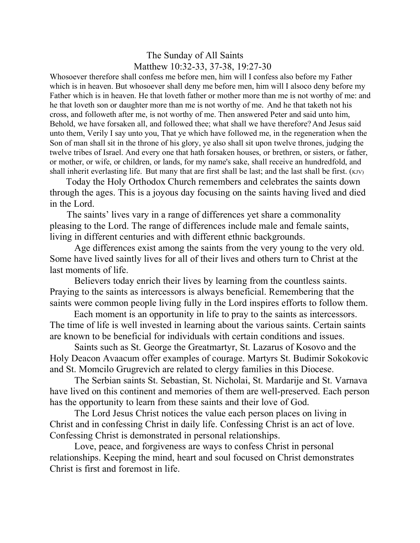## The Sunday of All Saints Matthew 10:32-33, 37-38, 19:27-30

Whosoever therefore shall confess me before men, him will I confess also before my Father which is in heaven. But whosoever shall deny me before men, him will I alsoco deny before my Father which is in heaven. He that loveth father or mother more than me is not worthy of me: and he that loveth son or daughter more than me is not worthy of me. And he that taketh not his cross, and followeth after me, is not worthy of me. Then answered Peter and said unto him, Behold, we have forsaken all, and followed thee; what shall we have therefore? And Jesus said unto them, Verily I say unto you, That ye which have followed me, in the regeneration when the Son of man shall sit in the throne of his glory, ye also shall sit upon twelve thrones, judging the twelve tribes of Israel. And every one that hath forsaken houses, or brethren, or sisters, or father, or mother, or wife, or children, or lands, for my name's sake, shall receive an hundredfold, and shall inherit everlasting life. But many that are first shall be last; and the last shall be first. (KJV)

 Today the Holy Orthodox Church remembers and celebrates the saints down through the ages. This is a joyous day focusing on the saints having lived and died in the Lord.

 The saints' lives vary in a range of differences yet share a commonality pleasing to the Lord. The range of differences include male and female saints, living in different centuries and with different ethnic backgrounds.

Age differences exist among the saints from the very young to the very old. Some have lived saintly lives for all of their lives and others turn to Christ at the last moments of life.

Believers today enrich their lives by learning from the countless saints. Praying to the saints as intercessors is always beneficial. Remembering that the saints were common people living fully in the Lord inspires efforts to follow them.

 Each moment is an opportunity in life to pray to the saints as intercessors. The time of life is well invested in learning about the various saints. Certain saints are known to be beneficial for individuals with certain conditions and issues.

Saints such as St. George the Greatmartyr, St. Lazarus of Kosovo and the Holy Deacon Avaacum offer examples of courage. Martyrs St. Budimir Sokokovic and St. Momcilo Grugrevich are related to clergy families in this Diocese.

The Serbian saints St. Sebastian, St. Nicholai, St. Mardarije and St. Varnava have lived on this continent and memories of them are well-preserved. Each person has the opportunity to learn from these saints and their love of God.

The Lord Jesus Christ notices the value each person places on living in Christ and in confessing Christ in daily life. Confessing Christ is an act of love. Confessing Christ is demonstrated in personal relationships.

Love, peace, and forgiveness are ways to confess Christ in personal relationships. Keeping the mind, heart and soul focused on Christ demonstrates Christ is first and foremost in life.